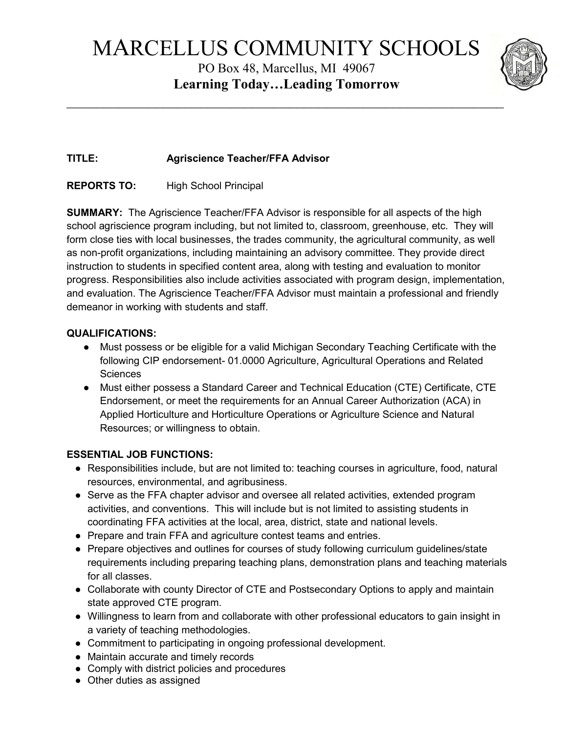# MARCELLUS COMMUNITY SCHOOLS

PO Box 48, Marcellus, MI 49067 **Learning Today…Leading Tomorrow**

 $\overline{\phantom{a}}$ 



# **TITLE: Agriscience Teacher/FFA Advisor**

## **REPORTS TO:** High School Principal

**SUMMARY:** The Agriscience Teacher/FFA Advisor is responsible for all aspects of the high school agriscience program including, but not limited to, classroom, greenhouse, etc. They will form close ties with local businesses, the trades community, the agricultural community, as well as non-profit organizations, including maintaining an advisory committee. They provide direct instruction to students in specified content area, along with testing and evaluation to monitor progress. Responsibilities also include activities associated with program design, implementation, and evaluation. The Agriscience Teacher/FFA Advisor must maintain a professional and friendly demeanor in working with students and staff.

## **QUALIFICATIONS:**

- Must possess or be eligible for a valid Michigan Secondary Teaching Certificate with the following CIP endorsement- 01.0000 Agriculture, Agricultural Operations and Related **Sciences**
- Must either possess a Standard Career and Technical Education (CTE) Certificate, CTE Endorsement, or meet the requirements for an Annual Career Authorization (ACA) in Applied Horticulture and Horticulture Operations or Agriculture Science and Natural Resources; or willingness to obtain.

## **ESSENTIAL JOB FUNCTIONS:**

- Responsibilities include, but are not limited to: teaching courses in agriculture, food, natural resources, environmental, and agribusiness.
- Serve as the FFA chapter advisor and oversee all related activities, extended program activities, and conventions. This will include but is not limited to assisting students in coordinating FFA activities at the local, area, district, state and national levels.
- Prepare and train FFA and agriculture contest teams and entries.
- Prepare objectives and outlines for courses of study following curriculum guidelines/state requirements including preparing teaching plans, demonstration plans and teaching materials for all classes.
- Collaborate with county Director of CTE and Postsecondary Options to apply and maintain state approved CTE program.
- Willingness to learn from and collaborate with other professional educators to gain insight in a variety of teaching methodologies.
- Commitment to participating in ongoing professional development.
- Maintain accurate and timely records
- Comply with district policies and procedures
- Other duties as assigned